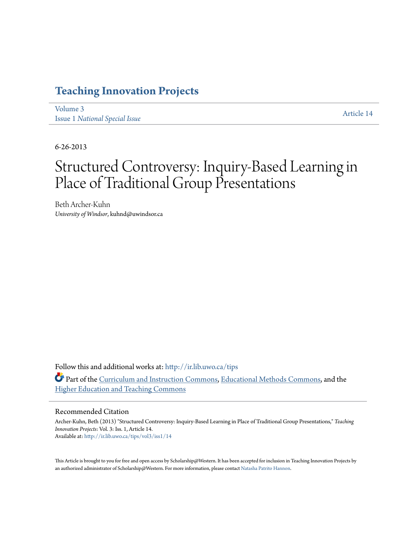## **[Teaching Innovation Projects](http://ir.lib.uwo.ca/tips?utm_source=ir.lib.uwo.ca%2Ftips%2Fvol3%2Fiss1%2F14&utm_medium=PDF&utm_campaign=PDFCoverPages)**

[Volume 3](http://ir.lib.uwo.ca/tips/vol3?utm_source=ir.lib.uwo.ca%2Ftips%2Fvol3%2Fiss1%2F14&utm_medium=PDF&utm_campaign=PDFCoverPages) Issue 1 *[National Special Issue](http://ir.lib.uwo.ca/tips/vol3/iss1?utm_source=ir.lib.uwo.ca%2Ftips%2Fvol3%2Fiss1%2F14&utm_medium=PDF&utm_campaign=PDFCoverPages)*

[Article 14](http://ir.lib.uwo.ca/tips/vol3/iss1/14?utm_source=ir.lib.uwo.ca%2Ftips%2Fvol3%2Fiss1%2F14&utm_medium=PDF&utm_campaign=PDFCoverPages)

6-26-2013

# Structured Controversy: Inquiry-Based Learning in Place of Traditional Group Presentations

Beth Archer-Kuhn *University of Windsor*, kuhnd@uwindsor.ca

Follow this and additional works at: [http://ir.lib.uwo.ca/tips](http://ir.lib.uwo.ca/tips?utm_source=ir.lib.uwo.ca%2Ftips%2Fvol3%2Fiss1%2F14&utm_medium=PDF&utm_campaign=PDFCoverPages) Part of the [Curriculum and Instruction Commons](http://network.bepress.com/hgg/discipline/786?utm_source=ir.lib.uwo.ca%2Ftips%2Fvol3%2Fiss1%2F14&utm_medium=PDF&utm_campaign=PDFCoverPages), [Educational Methods Commons,](http://network.bepress.com/hgg/discipline/1227?utm_source=ir.lib.uwo.ca%2Ftips%2Fvol3%2Fiss1%2F14&utm_medium=PDF&utm_campaign=PDFCoverPages) and the [Higher Education and Teaching Commons](http://network.bepress.com/hgg/discipline/806?utm_source=ir.lib.uwo.ca%2Ftips%2Fvol3%2Fiss1%2F14&utm_medium=PDF&utm_campaign=PDFCoverPages)

#### Recommended Citation

Archer-Kuhn, Beth (2013) "Structured Controversy: Inquiry-Based Learning in Place of Traditional Group Presentations," *Teaching Innovation Projects*: Vol. 3: Iss. 1, Article 14. Available at: [http://ir.lib.uwo.ca/tips/vol3/iss1/14](http://ir.lib.uwo.ca/tips/vol3/iss1/14?utm_source=ir.lib.uwo.ca%2Ftips%2Fvol3%2Fiss1%2F14&utm_medium=PDF&utm_campaign=PDFCoverPages)

This Article is brought to you for free and open access by Scholarship@Western. It has been accepted for inclusion in Teaching Innovation Projects by an authorized administrator of Scholarship@Western. For more information, please contact [Natasha Patrito Hannon](mailto:npatrit@uwo.ca).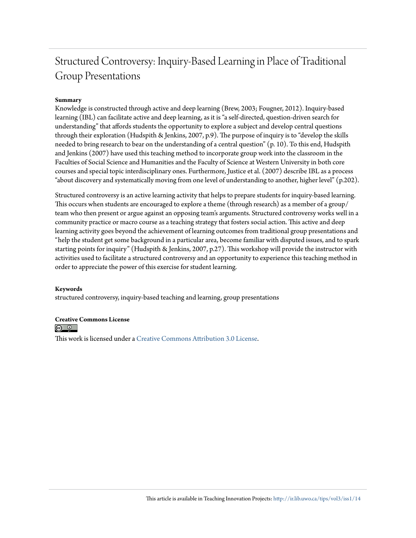## Structured Controversy: Inquiry-Based Learning in Place of Traditional Group Presentations

#### **Summary**

Knowledge is constructed through active and deep learning (Brew, 2003; Fougner, 2012). Inquiry-based learning (IBL) can facilitate active and deep learning, as it is "a self-directed, question-driven search for understanding" that affords students the opportunity to explore a subject and develop central questions through their exploration (Hudspith & Jenkins, 2007, p.9). The purpose of inquiry is to "develop the skills needed to bring research to bear on the understanding of a central question" (p. 10). To this end, Hudspith and Jenkins (2007) have used this teaching method to incorporate group work into the classroom in the Faculties of Social Science and Humanities and the Faculty of Science at Western University in both core courses and special topic interdisciplinary ones. Furthermore, Justice et al. (2007) describe IBL as a process "about discovery and systematically moving from one level of understanding to another, higher level" (p.202).

Structured controversy is an active learning activity that helps to prepare students for inquiry-based learning. This occurs when students are encouraged to explore a theme (through research) as a member of a group/ team who then present or argue against an opposing team's arguments. Structured controversy works well in a community practice or macro course as a teaching strategy that fosters social action. This active and deep learning activity goes beyond the achievement of learning outcomes from traditional group presentations and "help the student get some background in a particular area, become familiar with disputed issues, and to spark starting points for inquiry" (Hudspith & Jenkins, 2007, p.27). This workshop will provide the instructor with activities used to facilitate a structured controversy and an opportunity to experience this teaching method in order to appreciate the power of this exercise for student learning.

#### **Keywords**

structured controversy, inquiry-based teaching and learning, group presentations

#### **Creative Commons License**

<u>(@\_0\_]</u>

This work is licensed under a [Creative Commons Attribution 3.0 License.](http://creativecommons.org/licenses/by/3.0/)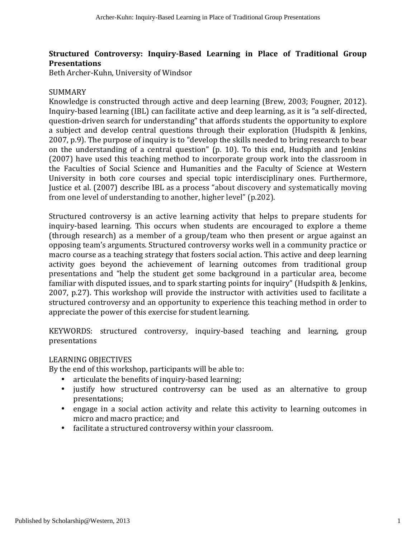#### **Structured Controversy: Inquiry-Based Learning in Place of Traditional Group Presentations**

Beth Archer-Kuhn, University of Windsor

#### SUMMARY

Knowledge is constructed through active and deep learning (Brew, 2003; Fougner, 2012). Inquiry-based learning (IBL) can facilitate active and deep learning, as it is "a self-directed, question-driven search for understanding" that affords students the opportunity to explore a subject and develop central questions through their exploration (Hudspith & Jenkins, 2007, p.9). The purpose of inquiry is to "develop the skills needed to bring research to bear on the understanding of a central question" (p. 10). To this end, Hudspith and Jenkins (2007) have used this teaching method to incorporate group work into the classroom in the Faculties of Social Science and Humanities and the Faculty of Science at Western University in both core courses and special topic interdisciplinary ones. Furthermore, Iustice et al. (2007) describe IBL as a process "about discovery and systematically moving from one level of understanding to another, higher level" (p.202).

Structured controversy is an active learning activity that helps to prepare students for inquiry-based learning. This occurs when students are encouraged to explore a theme (through research) as a member of a group/team who then present or argue against an opposing team's arguments. Structured controversy works well in a community practice or macro course as a teaching strategy that fosters social action. This active and deep learning activity goes beyond the achievement of learning outcomes from traditional group presentations and "help the student get some background in a particular area, become familiar with disputed issues, and to spark starting points for inquiry" (Hudspith & Jenkins, 2007, p.27). This workshop will provide the instructor with activities used to facilitate a structured controversy and an opportunity to experience this teaching method in order to appreciate the power of this exercise for student learning.

KEYWORDS: structured controversy, inquiry-based teaching and learning, group presentations

#### LEARNING OBJECTIVES

By the end of this workshop, participants will be able to:

- articulate the benefits of inquiry-based learning;
- justify how structured controversy can be used as an alternative to group presentations;
- engage in a social action activity and relate this activity to learning outcomes in micro and macro practice; and
- facilitate a structured controversy within your classroom.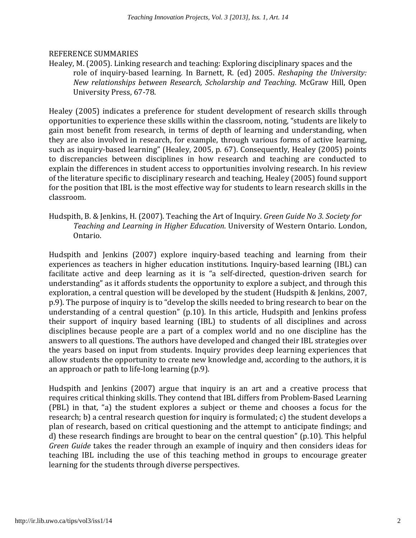#### REFERENCE SUMMARIES

Healey, M. (2005). Linking research and teaching: Exploring disciplinary spaces and the role of inquiry-based learning. In Barnett, R. (ed) 2005. *Reshaping the University: New relationships between Research, Scholarship and Teaching*. McGraw Hill, Open University Press, 67-78.

Healey (2005) indicates a preference for student development of research skills through opportunities to experience these skills within the classroom, noting, "students are likely to gain most benefit from research, in terms of depth of learning and understanding, when they are also involved in research, for example, through various forms of active learning, such as inquiry-based learning" (Healey, 2005, p. 67). Consequently, Healey (2005) points to discrepancies between disciplines in how research and teaching are conducted to explain the differences in student access to opportunities involving research. In his review of the literature specific to disciplinary research and teaching, Healey (2005) found support for the position that IBL is the most effective way for students to learn research skills in the classroom. 

Hudspith, B. & Jenkins, H. (2007). Teaching the Art of Inquiry. *Green Guide No 3. Society for* Teaching and Learning in Higher Education. University of Western Ontario. London, Ontario.

Hudspith and Jenkins (2007) explore inquiry-based teaching and learning from their experiences as teachers in higher education institutions. Inquiry-based learning (IBL) can facilitate active and deep learning as it is "a self-directed, question-driven search for understanding" as it affords students the opportunity to explore a subject, and through this exploration, a central question will be developed by the student (Hudspith & Jenkins, 2007, p.9). The purpose of inquiry is to "develop the skills needed to bring research to bear on the understanding of a central question" (p.10). In this article, Hudspith and Jenkins profess their support of inquiry based learning (IBL) to students of all disciplines and across disciplines because people are a part of a complex world and no one discipline has the answers to all questions. The authors have developed and changed their IBL strategies over the years based on input from students. Inquiry provides deep learning experiences that allow students the opportunity to create new knowledge and, according to the authors, it is an approach or path to life-long learning  $(p.9)$ .

Hudspith and Jenkins (2007) argue that inquiry is an art and a creative process that requires critical thinking skills. They contend that IBL differs from Problem-Based Learning (PBL) in that, "a) the student explores a subject or theme and chooses a focus for the research; b) a central research question for inquiry is formulated; c) the student develops a plan of research, based on critical questioning and the attempt to anticipate findings; and d) these research findings are brought to bear on the central question" (p.10). This helpful *Green Guide* takes the reader through an example of inquiry and then considers ideas for teaching IBL including the use of this teaching method in groups to encourage greater learning for the students through diverse perspectives.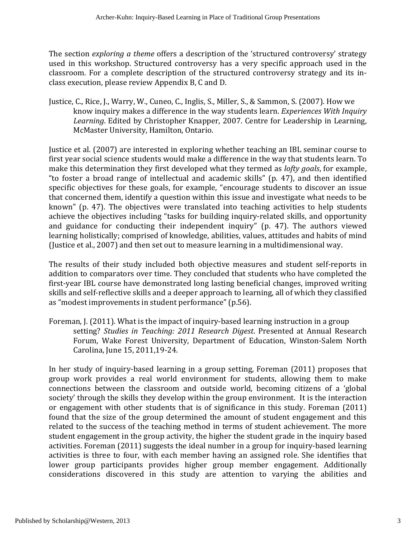The section *exploring* a theme offers a description of the 'structured controversy' strategy used in this workshop. Structured controversy has a very specific approach used in the classroom. For a complete description of the structured controversy strategy and its inclass execution, please review Appendix B, C and D.

Justice, C., Rice, J., Warry, W., Cuneo, C., Inglis, S., Miller, S., & Sammon, S. (2007). How we know inquiry makes a difference in the way students learn. *Experiences With Inquiry* Learning. Edited by Christopher Knapper, 2007. Centre for Leadership in Learning, McMaster University, Hamilton, Ontario.

Justice et al. (2007) are interested in exploring whether teaching an IBL seminar course to first year social science students would make a difference in the way that students learn. To make this determination they first developed what they termed as *lofty goals*, for example, "to foster a broad range of intellectual and academic skills" (p.  $47$ ), and then identified specific objectives for these goals, for example, "encourage students to discover an issue that concerned them, identify a question within this issue and investigate what needs to be known" (p. 47). The objectives were translated into teaching activities to help students achieve the objectives including "tasks for building inquiry-related skills, and opportunity and guidance for conducting their independent inquiry" (p. 47). The authors viewed learning holistically; comprised of knowledge, abilities, values, attitudes and habits of mind (Justice et al., 2007) and then set out to measure learning in a multidimensional way.

The results of their study included both objective measures and student self-reports in addition to comparators over time. They concluded that students who have completed the first-year IBL course have demonstrated long lasting beneficial changes, improved writing skills and self-reflective skills and a deeper approach to learning, all of which they classified as "modest improvements in student performance" (p.56).

Foreman, J. (2011). What is the impact of inquiry-based learning instruction in a group setting? *Studies in Teaching: 2011 Research Digest*. Presented at Annual Research Forum, Wake Forest University, Department of Education, Winston-Salem North Carolina, June 15, 2011, 19-24.

In her study of inquiry-based learning in a group setting, Foreman (2011) proposes that group work provides a real world environment for students, allowing them to make connections between the classroom and outside world, becoming citizens of a 'global society' through the skills they develop within the group environment. It is the interaction or engagement with other students that is of significance in this study. Foreman (2011) found that the size of the group determined the amount of student engagement and this related to the success of the teaching method in terms of student achievement. The more student engagement in the group activity, the higher the student grade in the inquiry based activities. Foreman (2011) suggests the ideal number in a group for inquiry-based learning activities is three to four, with each member having an assigned role. She identifies that lower group participants provides higher group member engagement. Additionally considerations discovered in this study are attention to varying the abilities and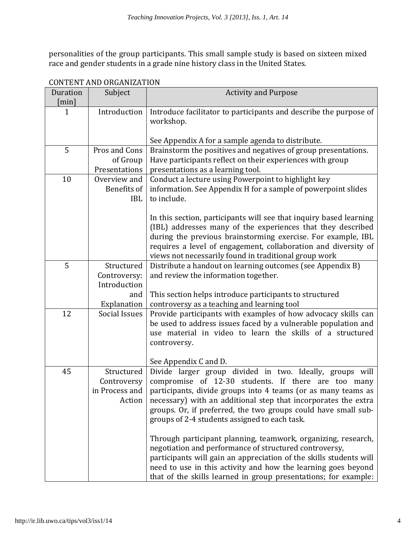personalities of the group participants. This small sample study is based on sixteen mixed race and gender students in a grade nine history class in the United States.

| Duration | GUN LEN LAND UNUANIZATION<br>Subject                  | <b>Activity and Purpose</b>                                                                                                                                                                                                                                                                                                                                                                                                                                                                                                                                                                                                                                                                                |  |  |
|----------|-------------------------------------------------------|------------------------------------------------------------------------------------------------------------------------------------------------------------------------------------------------------------------------------------------------------------------------------------------------------------------------------------------------------------------------------------------------------------------------------------------------------------------------------------------------------------------------------------------------------------------------------------------------------------------------------------------------------------------------------------------------------------|--|--|
| [min]    |                                                       |                                                                                                                                                                                                                                                                                                                                                                                                                                                                                                                                                                                                                                                                                                            |  |  |
| 1        | Introduction                                          | Introduce facilitator to participants and describe the purpose of<br>workshop.                                                                                                                                                                                                                                                                                                                                                                                                                                                                                                                                                                                                                             |  |  |
|          |                                                       | See Appendix A for a sample agenda to distribute.                                                                                                                                                                                                                                                                                                                                                                                                                                                                                                                                                                                                                                                          |  |  |
| 5        | Pros and Cons<br>of Group<br>Presentations            | Brainstorm the positives and negatives of group presentations.<br>Have participants reflect on their experiences with group<br>presentations as a learning tool.                                                                                                                                                                                                                                                                                                                                                                                                                                                                                                                                           |  |  |
| 10       | Overview and<br>Benefits of<br><b>IBL</b>             | Conduct a lecture using Powerpoint to highlight key<br>information. See Appendix H for a sample of powerpoint slides<br>to include.                                                                                                                                                                                                                                                                                                                                                                                                                                                                                                                                                                        |  |  |
|          |                                                       | In this section, participants will see that inquiry based learning<br>(IBL) addresses many of the experiences that they described<br>during the previous brainstorming exercise. For example, IBL<br>requires a level of engagement, collaboration and diversity of<br>views not necessarily found in traditional group work                                                                                                                                                                                                                                                                                                                                                                               |  |  |
| 5        | Structured<br>Controversy:<br>Introduction<br>and     | Distribute a handout on learning outcomes (see Appendix B)<br>and review the information together.<br>This section helps introduce participants to structured                                                                                                                                                                                                                                                                                                                                                                                                                                                                                                                                              |  |  |
|          | Explanation                                           | controversy as a teaching and learning tool                                                                                                                                                                                                                                                                                                                                                                                                                                                                                                                                                                                                                                                                |  |  |
| 12       | Social Issues                                         | Provide participants with examples of how advocacy skills can<br>be used to address issues faced by a vulnerable population and<br>use material in video to learn the skills of a structured<br>controversy.<br>See Appendix C and D.                                                                                                                                                                                                                                                                                                                                                                                                                                                                      |  |  |
| 45       | Structured<br>Controversy<br>in Process and<br>Action | Divide larger group divided in two. Ideally, groups will<br>compromise of 12-30 students. If there are too many<br>participants, divide groups into 4 teams (or as many teams as<br>necessary) with an additional step that incorporates the extra<br>groups. Or, if preferred, the two groups could have small sub-<br>groups of 2-4 students assigned to each task.<br>Through participant planning, teamwork, organizing, research,<br>negotiation and performance of structured controversy,<br>participants will gain an appreciation of the skills students will<br>need to use in this activity and how the learning goes beyond<br>that of the skills learned in group presentations; for example: |  |  |

CONTENT AND ORCANIZATION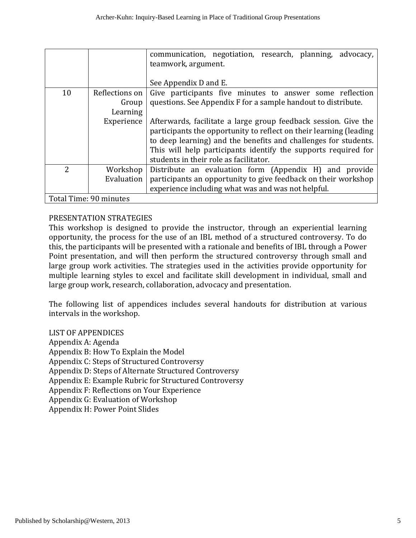|                        |                                                                            | communication, negotiation, research, planning, advocacy,<br>teamwork, argument. |  |  |  |
|------------------------|----------------------------------------------------------------------------|----------------------------------------------------------------------------------|--|--|--|
|                        |                                                                            | See Appendix D and E.                                                            |  |  |  |
| 10                     | Reflections on<br>Give participants five minutes to answer some reflection |                                                                                  |  |  |  |
|                        | Group                                                                      | questions. See Appendix F for a sample handout to distribute.                    |  |  |  |
|                        | Learning                                                                   |                                                                                  |  |  |  |
|                        | Experience                                                                 | Afterwards, facilitate a large group feedback session. Give the                  |  |  |  |
|                        |                                                                            | participants the opportunity to reflect on their learning (leading               |  |  |  |
|                        |                                                                            | to deep learning) and the benefits and challenges for students.                  |  |  |  |
|                        |                                                                            | This will help participants identify the supports required for                   |  |  |  |
|                        |                                                                            | students in their role as facilitator.                                           |  |  |  |
| $\overline{2}$         | Workshop                                                                   | Distribute an evaluation form (Appendix H) and provide                           |  |  |  |
|                        | Evaluation                                                                 | participants an opportunity to give feedback on their workshop                   |  |  |  |
|                        |                                                                            | experience including what was and was not helpful.                               |  |  |  |
| Total Time: 90 minutes |                                                                            |                                                                                  |  |  |  |

#### PRESENTATION STRATEGIES

This workshop is designed to provide the instructor, through an experiential learning opportunity, the process for the use of an IBL method of a structured controversy. To do this, the participants will be presented with a rationale and benefits of IBL through a Power Point presentation, and will then perform the structured controversy through small and large group work activities. The strategies used in the activities provide opportunity for multiple learning styles to excel and facilitate skill development in individual, small and large group work, research, collaboration, advocacy and presentation.

The following list of appendices includes several handouts for distribution at various intervals in the workshop.

LIST OF APPENDICES

Appendix A: Agenda Appendix B: How To Explain the Model Appendix C: Steps of Structured Controversy Appendix D: Steps of Alternate Structured Controversy Appendix E: Example Rubric for Structured Controversy Appendix F: Reflections on Your Experience Appendix G: Evaluation of Workshop Appendix H: Power Point Slides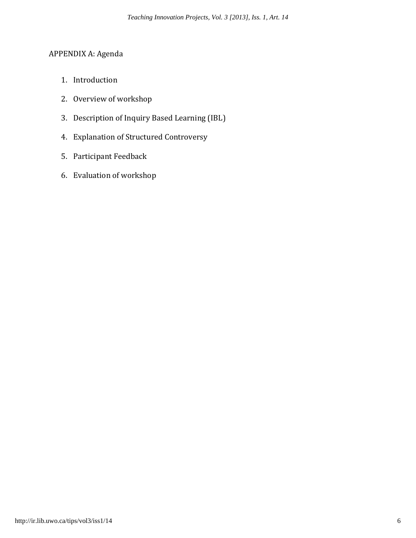### APPENDIX A: Agenda

- 1. Introduction
- 2. Overview of workshop
- 3. Description of Inquiry Based Learning (IBL)
- 4. Explanation of Structured Controversy
- 5. Participant Feedback
- 6. Evaluation of workshop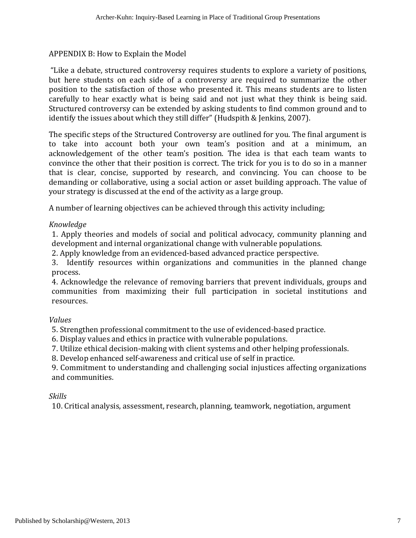#### APPENDIX B: How to Explain the Model

"Like a debate, structured controversy requires students to explore a variety of positions, but here students on each side of a controversy are required to summarize the other position to the satisfaction of those who presented it. This means students are to listen carefully to hear exactly what is being said and not just what they think is being said. Structured controversy can be extended by asking students to find common ground and to identify the issues about which they still differ" (Hudspith & Jenkins, 2007).

The specific steps of the Structured Controversy are outlined for you. The final argument is to take into account both your own team's position and at a minimum, an acknowledgement of the other team's position. The idea is that each team wants to convince the other that their position is correct. The trick for you is to do so in a manner that is clear, concise, supported by research, and convincing. You can choose to be demanding or collaborative, using a social action or asset building approach. The value of your strategy is discussed at the end of the activity as a large group.

A number of learning objectives can be achieved through this activity including;

#### *Knowledge*

1. Apply theories and models of social and political advocacy, community planning and development and internal organizational change with vulnerable populations.

2. Apply knowledge from an evidenced-based advanced practice perspective.

3. Identify resources within organizations and communities in the planned change process.

4. Acknowledge the relevance of removing barriers that prevent individuals, groups and communities from maximizing their full participation in societal institutions and resources. 

#### *Values*

5. Strengthen professional commitment to the use of evidenced-based practice.

6. Display values and ethics in practice with vulnerable populations.

7. Utilize ethical decision-making with client systems and other helping professionals.

8. Develop enhanced self-awareness and critical use of self in practice.

9. Commitment to understanding and challenging social injustices affecting organizations and communities.

#### *Skills*

10. Critical analysis, assessment, research, planning, teamwork, negotiation, argument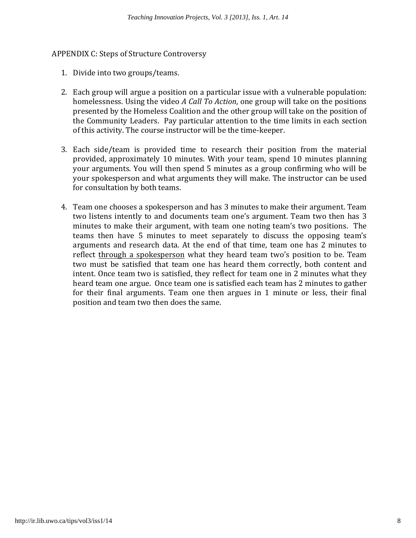#### APPENDIX C: Steps of Structure Controversy

- 1. Divide into two groups/teams.
- 2. Each group will argue a position on a particular issue with a vulnerable population: homelessness. Using the video *A Call To Action*, one group will take on the positions presented by the Homeless Coalition and the other group will take on the position of the Community Leaders. Pay particular attention to the time limits in each section of this activity. The course instructor will be the time-keeper.
- 3. Each side/team is provided time to research their position from the material provided, approximately 10 minutes. With your team, spend 10 minutes planning your arguments. You will then spend 5 minutes as a group confirming who will be your spokesperson and what arguments they will make. The instructor can be used for consultation by both teams.
- 4. Team one chooses a spokesperson and has 3 minutes to make their argument. Team two listens intently to and documents team one's argument. Team two then has 3 minutes to make their argument, with team one noting team's two positions. The teams then have 5 minutes to meet separately to discuss the opposing team's arguments and research data. At the end of that time, team one has 2 minutes to reflect through a spokesperson what they heard team two's position to be. Team two must be satisfied that team one has heard them correctly, both content and intent. Once team two is satisfied, they reflect for team one in 2 minutes what they heard team one argue. Once team one is satisfied each team has 2 minutes to gather for their final arguments. Team one then argues in 1 minute or less, their final position and team two then does the same.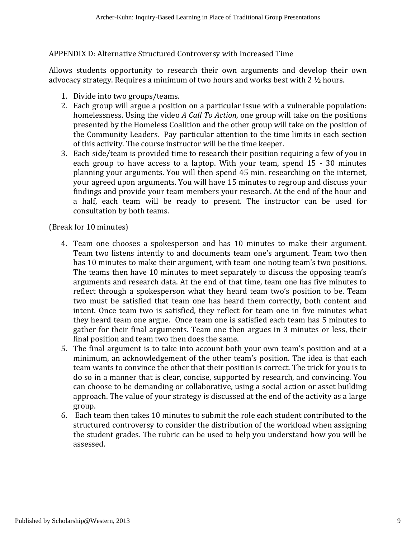#### APPENDIX D: Alternative Structured Controversy with Increased Time

Allows students opportunity to research their own arguments and develop their own advocacy strategy. Requires a minimum of two hours and works best with  $2\frac{1}{2}$  hours.

- 1. Divide into two groups/teams.
- 2. Each group will argue a position on a particular issue with a vulnerable population: homelessness. Using the video *A Call To Action*, one group will take on the positions presented by the Homeless Coalition and the other group will take on the position of the Community Leaders. Pay particular attention to the time limits in each section of this activity. The course instructor will be the time keeper.
- 3. Each side/team is provided time to research their position requiring a few of you in each group to have access to a laptop. With your team, spend  $15 - 30$  minutes planning your arguments. You will then spend 45 min. researching on the internet, your agreed upon arguments. You will have 15 minutes to regroup and discuss your findings and provide your team members your research. At the end of the hour and a half, each team will be ready to present. The instructor can be used for consultation by both teams.

(Break for 10 minutes)

- 4. Team one chooses a spokesperson and has 10 minutes to make their argument. Team two listens intently to and documents team one's argument. Team two then has 10 minutes to make their argument, with team one noting team's two positions. The teams then have 10 minutes to meet separately to discuss the opposing team's arguments and research data. At the end of that time, team one has five minutes to reflect through a spokesperson what they heard team two's position to be. Team two must be satisfied that team one has heard them correctly, both content and intent. Once team two is satisfied, they reflect for team one in five minutes what they heard team one argue. Once team one is satisfied each team has 5 minutes to gather for their final arguments. Team one then argues in 3 minutes or less, their final position and team two then does the same.
- 5. The final argument is to take into account both your own team's position and at a minimum, an acknowledgement of the other team's position. The idea is that each team wants to convince the other that their position is correct. The trick for you is to do so in a manner that is clear, concise, supported by research, and convincing. You can choose to be demanding or collaborative, using a social action or asset building approach. The value of your strategy is discussed at the end of the activity as a large group.
- 6. Each team then takes 10 minutes to submit the role each student contributed to the structured controversy to consider the distribution of the workload when assigning the student grades. The rubric can be used to help you understand how you will be assessed.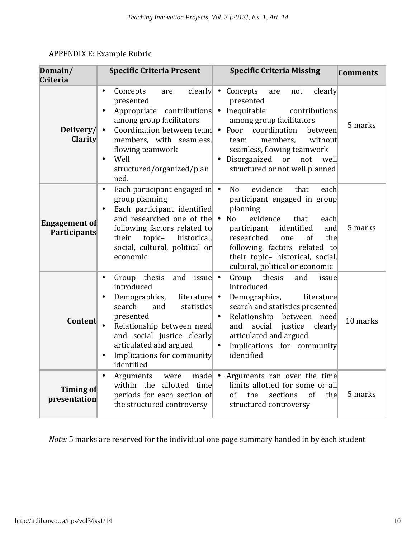| Domain/<br><b>Criteria</b>                  | <b>Specific Criteria Present</b>                                                                                                                                                                                                                                                                     | <b>Specific Criteria Missing</b>                                                                                                                                                                                                                                                                                                          | <b>Comments</b> |
|---------------------------------------------|------------------------------------------------------------------------------------------------------------------------------------------------------------------------------------------------------------------------------------------------------------------------------------------------------|-------------------------------------------------------------------------------------------------------------------------------------------------------------------------------------------------------------------------------------------------------------------------------------------------------------------------------------------|-----------------|
| Delivery/<br><b>Clarity</b>                 | clearly $\bullet$<br>Concepts<br>$\bullet$<br>are<br>presented<br>Appropriate contributions • Inequitable<br>among group facilitators<br>Coordination between team<br>$\bullet$<br>members, with seamless,<br>flowing teamwork<br>Well<br>$\bullet$<br>structured/organized/plan<br>ned.             | Concepts<br>clearly<br>are<br>not<br>presented<br>contributions<br>among group facilitators<br>• Poor<br>coordination<br>between<br>members,<br>without<br>team<br>seamless, flowing teamwork<br>Disorganized<br>or not<br>well<br>structured or not well planned                                                                         | 5 marks         |
| <b>Engagement of</b><br><b>Participants</b> | Each participant engaged in •<br>$\bullet$<br>group planning<br>Each participant identified<br>and researched one of the<br>following factors related to<br>topic-<br>historical,<br>their<br>social, cultural, political or<br>economic                                                             | evidence<br>N <sub>o</sub><br>that<br>each<br>participant engaged in group<br>planning<br>N <sub>o</sub><br>evidence<br>that<br>$\bullet$<br>each<br>participant<br>identified<br>and<br>researched<br>the<br><sub>of</sub><br>one<br>following factors related to<br>their topic- historical, social,<br>cultural, political or economic | 5 marks         |
| Content                                     | thesis<br>and<br>issue $\bullet$<br>Group<br>$\bullet$<br>introduced<br>Demographics,<br>literature $\vert \cdot \vert$<br>search<br>and<br>statistics<br>presented<br>Relationship between need<br>and social justice clearly<br>articulated and argued<br>Implications for community<br>identified | thesis<br>Group<br>and<br>issue<br>introduced<br>Demographics,<br>literature<br>search and statistics presented<br>Relationship between<br>need<br>social<br>and<br>justice<br>clearly<br>articulated and argued<br>Implications for community<br>identified                                                                              | 10 marks        |
| Timing of<br>presentation                   | $\bullet$<br>made $\bullet$<br>Arguments<br>were<br>within the allotted time<br>periods for each section of<br>the structured controversy                                                                                                                                                            | Arguments ran over the time<br>limits allotted for some or all<br>the<br>of<br>of<br>sections<br>thel<br>structured controversy                                                                                                                                                                                                           | 5 marks         |

## APPENDIX E: Example Rubric

*Note:* 5 marks are reserved for the individual one page summary handed in by each student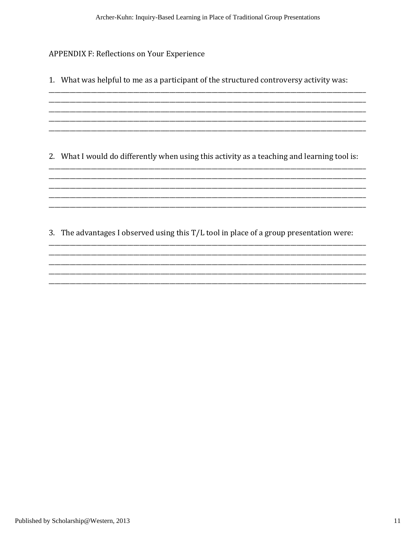**APPENDIX F: Reflections on Your Experience** 

1. What was helpful to me as a participant of the structured controversy activity was: 2. What I would do differently when using this activity as a teaching and learning tool is:

3. The advantages I observed using this T/L tool in place of a group presentation were: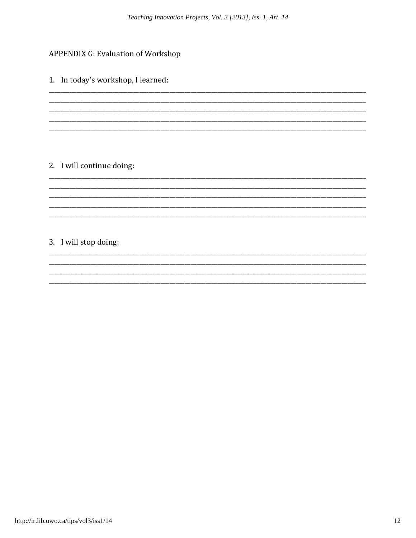### **APPENDIX G: Evaluation of Workshop**

1. In today's workshop, I learned:

## 2. I will continue doing:

## 3. I will stop doing: